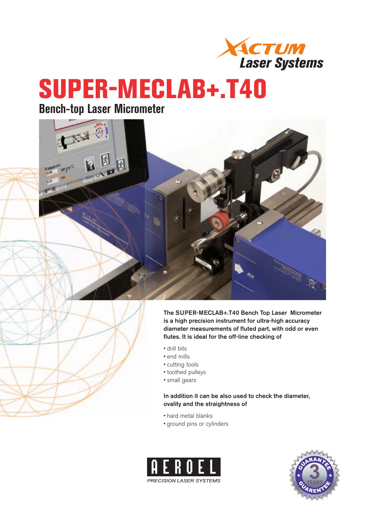

# **SUPER-MECLAB+.T40**

### **Bench-top Laser Micrometer**



**The SUPER-MECLAB+.T40 Bench Top Laser Micrometer is a high precision instrument for ultra-high accuracy diameter measurements of fluted part, with odd or even flutes. It is ideal for the off-line checking of** 

- drill bits
- end mills
- cutting tools
- toothed pulleys
- small gears

### **In addition it can be also used to check the diameter, ovality and the straightness of**

- hard metal blanks
- ground pins or cylinders



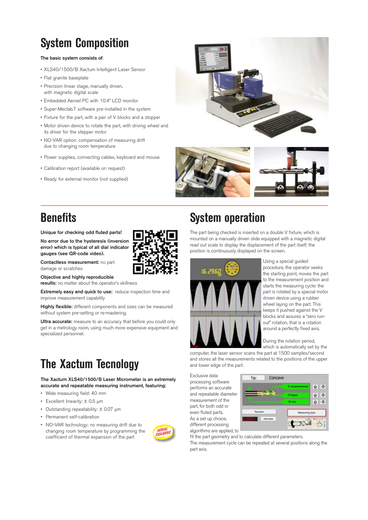# **System Composition**

#### **The basic system consists of**:

- XLS40/1500/B Xactum Intelligent Laser Sensor
- Flat granite baseplate
- Precision linear stage, manually driven, with magnetic digital scale
- Embedded Aeroel PC with 10.4" LCD monitor
- Super-Meclab.T software pre-installed in the system
- Fixture for the part, with a pair of V blocks and a stopper
- Motor driven device to rotate the part, with driving wheel and its driver for the stepper motor
- NO-VAR option: compensation of measuring drift due to changing room temperature
- Power supplies, connecting cables, keyboard and mouse
- Calibration report (available on request)
- Ready for external monitor (not supplied)





# **Benefits**

**Unique for checking odd fluted parts!**

**No error due to the hysteresis (inversion error) which is typical of all dial indicator gauges (see QR-code video).** 

**Contactless measurement:** no part damage or scratches

**Objective and highly reproducible results:** no matter about the operator's skillness

**Extremely easy and quick to use:** reduce inspection time and improve measurement capability

**Highly flexible:** different components and sizes can be measured without system pre-setting or re-mastering.

**Ultra accurate:** measure to an accuracy that before you could only get in a metrology room, using much more expensive equipment and specialized personnel.

# **The Xactum Tecnology**

**The Xactum XLS40/1500/B Laser Micrometer is an extremely accurate and repeatable measuring instrument, featuring:** 

- Wide measuring field: 40 mm
- Excellent linearity: ± 0.5 μm
- Outstanding repeatability: ± 0.07 μm
- Permanent self-calibration
- NO-VAR technology: no measuring drift due to changing room temperature by programming the coefficient of thermal expansion of the part



### **System operation**

The part being checked is inserted on a double V fixture, which is mounted on a manually driven slide equipped with a magnetic digital read out scale to display the displacement of the part itself; the position is continuously displayed on the screen.



Using a special guided procedure, the operator seeks the starting point, moves the part to the measurement position and starts the measuring cycle: the part is rotated by a special motor driven device using a rubber wheel laying on the part. This keeps it pushed against the V blocks and assures a "zero runout" rotation, that is a rotation around a perfectly fixed axis.

During the rotation period, which is automatically set by the

computer, the laser sensor scans the part at 1500 samples/second and stores all the measurements related to the positions of the upper and lower edge of the part.

Exclusive data processing software performs an accurate and repeatable diameter measurement of the part, for both odd or even fluted parts. As a set up choice, different processing algorithms are applied, to



fit the part geometry and to calculate different parameters.

The measurement cycle can be repeated at several positions along the part axis.

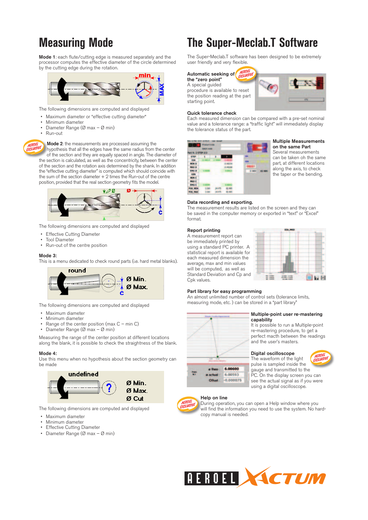### **Measuring Mode**

**Mode 1**: each flute/cutting edge is measured separately and the processor computes the effective diameter of the circle determined by the cutting edge during the rotation.



The following dimensions are computed and displayed

- Maximum diameter or "effective cutting diameter"
- Minimum diameter
- Diameter Range (Ø max Ø min)
- Run-out

**Mode 2**: the measurements are processed assuming the **M**

hypothesis that all the edges have the same radius from the center h of the section and they are equally spaced in angle. The diameter of the section is calculated, as well as the concentricity, between the center of the section and the rotation axis determined by the shank. In addition the "effective cutting diameter" is computed which should coincide with the sum of the section diameter  $+2$  times the Run-out of the centre position, provided that the real section geometry fits the model.



The following dimensions are computed and displayed

- Effective Cutting Diameter
- Tool Diameter
- Run-out of the centre position

#### **Mode 3:**

This is a menu dedicated to check round parts (i.e. hard metal blanks).



The following dimensions are computed and displayed

- Maximum diameter
- Minimum diameter
- Range of the center position (max  $C$  min  $C$ )
- Diameter Range (Ø max Ø min)

Measuring the range of the center position at different locations along the blank, it is possible to check the straightness of the blank.

#### **Mode 4:**

Use this menu when no hypothesis about the section geometry can be made



The following dimensions are computed and displayed

- Maximum diameter
- Minimum diameter
- **Effective Cutting Diameter**
- Diameter Range (Ø max Ø min)

### **The Super-Meclab.T Software**

The Super-Meclab.T software has been designed to be extremely user friendly and very flexible.

#### **Automatic seeking of**

**the "zero point"** A special guided

procedure is available to reset the position reading at the part starting point.



#### **Quick tolerance check**

Each measured dimension can be compared with a pre-set nominal value and a tolerance range: a "traffic light" will immediately display the tolerance status of the part.

| <b>ALL STEP 3/3</b> | <b>Product Cost</b><br><b>MOR DOOR</b> |   |               |       |
|---------------------|----------------------------------------|---|---------------|-------|
| <b>STEP</b>         | ٠                                      | л | s             |       |
| <b>BEA</b>          |                                        |   |               |       |
| <b>NEW-D</b>        |                                        |   | 相応            |       |
| <b>HALL-D</b>       |                                        |   | 49.000        | ı     |
| 856.0               |                                        |   | <b>STORES</b> | 0.000 |
| <b>CEN</b>          |                                        |   |               |       |
| <b>MIN-C</b>        |                                        |   |               |       |
| <b>MAXIC</b>        |                                        |   |               |       |
| <b>BRGC</b>         |                                        |   |               |       |
| POS: NIN            |                                        |   |               |       |
| <b>POS MAX</b>      |                                        |   |               |       |
|                     |                                        |   |               |       |

#### **Multiple Measurements on the same Part**

Several measurements can be taken oh the same part, at different locations along the axis, to check the taper or the bending.

#### **Data recording and exporting.**

The measurement results are listed on the screen and they can be saved in the computer memory or exported in "text" or "Excel" format.

#### **Report printing**

A measurement report can be immediately printed by using a standard PC printer. A statistical report is available for each measured dimension the average, max and min values will be computed, as well as Standard Deviation and Cp and Cpk values.



#### **Part library for easy programming**

An almost unlimited number of control sets (tolerance limits, measuring mode, etc. ) can be stored in a "part library"



a theo

a actual

Officet

6,00600

6.00593

 $-0.000075$ 

#### **Multiple-point user re-mastering capability**

It is possible to run a Multiple-point re-mastering procedure, to get a perfect macth between the readings and the user's masters.

#### **Digital oscilloscope**

The waveform of the light pulse is sampled inside the gauge and transmitted to the PC. On the display screen you can see the actual signal as if you were using a digital oscilloscope.

#### **Help on line H**



During operation, you can open a Help window where you D will find the information you need to use the system. No hard-w copy manual is needed. c